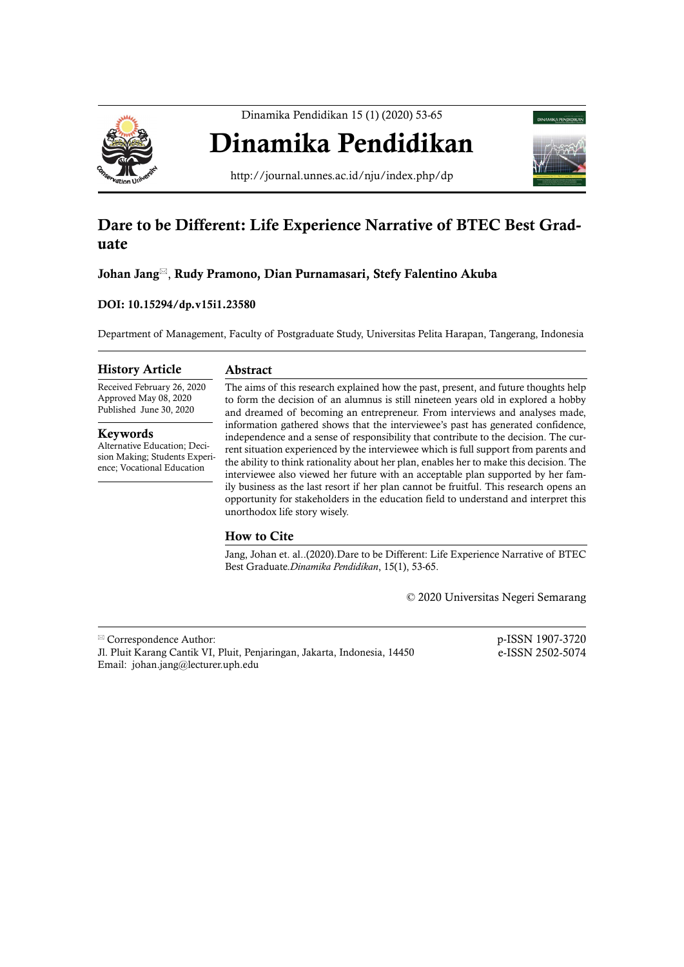

Dinamika Pendidikan 15 (1) (2020) 53-65

# Dinamika Pendidikan



http://journal.unnes.ac.id/nju/index.php/dp

# Dare to be Different: Life Experience Narrative of BTEC Best Graduate

Johan Jang, Rudy Pramono, Dian Purnamasari, Stefy Falentino Akuba

## DOI: 10.15294/dp.v15i1.23580

Department of Management, Faculty of Postgraduate Study, Universitas Pelita Harapan, Tangerang, Indonesia

#### History Article

#### Abstract

Received February 26, 2020 Approved May 08, 2020 Published June 30, 2020

Keywords

Alternative Education; Decision Making; Students Experience; Vocational Education

The aims of this research explained how the past, present, and future thoughts help to form the decision of an alumnus is still nineteen years old in explored a hobby and dreamed of becoming an entrepreneur. From interviews and analyses made, information gathered shows that the interviewee's past has generated confidence, independence and a sense of responsibility that contribute to the decision. The current situation experienced by the interviewee which is full support from parents and the ability to think rationality about her plan, enables her to make this decision. The interviewee also viewed her future with an acceptable plan supported by her family business as the last resort if her plan cannot be fruitful. This research opens an opportunity for stakeholders in the education field to understand and interpret this unorthodox life story wisely.

# How to Cite

Jang, Johan et. al..(2020).Dare to be Different: Life Experience Narrative of BTEC Best Graduate.*Dinamika Pendidikan*, 15(1), 53-65.

© 2020 Universitas Negeri Semarang

| $\mathbb{Z}$ Correspondence Author:                                      | p-ISSN 1907-3720 |
|--------------------------------------------------------------------------|------------------|
| J. Pluit Karang Cantik VI, Pluit, Penjaringan, Jakarta, Indonesia, 14450 | e-ISSN 2502-5074 |
| Email: johan.jang@lecturer.uph.edu                                       |                  |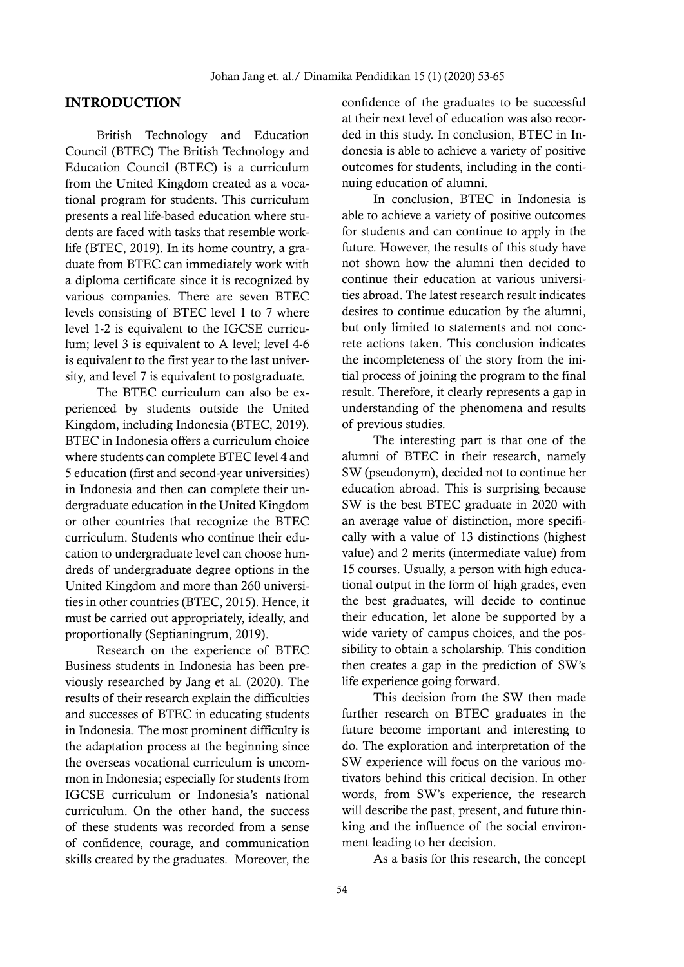#### **INTRODUCTION**

British Technology and Education Council (BTEC) The British Technology and Education Council (BTEC) is a curriculum from the United Kingdom created as a vocational program for students. This curriculum presents a real life-based education where students are faced with tasks that resemble worklife (BTEC, 2019). In its home country, a graduate from BTEC can immediately work with a diploma certificate since it is recognized by various companies. There are seven BTEC levels consisting of BTEC level 1 to 7 where level 1-2 is equivalent to the IGCSE curriculum; level 3 is equivalent to A level; level 4-6 is equivalent to the first year to the last university, and level 7 is equivalent to postgraduate.

The BTEC curriculum can also be experienced by students outside the United Kingdom, including Indonesia (BTEC, 2019). BTEC in Indonesia offers a curriculum choice where students can complete BTEC level 4 and 5 education (first and second-year universities) in Indonesia and then can complete their undergraduate education in the United Kingdom or other countries that recognize the BTEC curriculum. Students who continue their education to undergraduate level can choose hundreds of undergraduate degree options in the United Kingdom and more than 260 universities in other countries (BTEC, 2015). Hence, it must be carried out appropriately, ideally, and proportionally (Septianingrum, 2019).

Research on the experience of BTEC Business students in Indonesia has been previously researched by Jang et al. (2020). The results of their research explain the difficulties and successes of BTEC in educating students in Indonesia. The most prominent difficulty is the adaptation process at the beginning since the overseas vocational curriculum is uncommon in Indonesia; especially for students from IGCSE curriculum or Indonesia's national curriculum. On the other hand, the success of these students was recorded from a sense of confidence, courage, and communication skills created by the graduates. Moreover, the

confidence of the graduates to be successful at their next level of education was also recorded in this study. In conclusion, BTEC in Indonesia is able to achieve a variety of positive outcomes for students, including in the continuing education of alumni.

In conclusion, BTEC in Indonesia is able to achieve a variety of positive outcomes for students and can continue to apply in the future. However, the results of this study have not shown how the alumni then decided to continue their education at various universities abroad. The latest research result indicates desires to continue education by the alumni, but only limited to statements and not concrete actions taken. This conclusion indicates the incompleteness of the story from the initial process of joining the program to the final result. Therefore, it clearly represents a gap in understanding of the phenomena and results of previous studies.

The interesting part is that one of the alumni of BTEC in their research, namely SW (pseudonym), decided not to continue her education abroad. This is surprising because SW is the best BTEC graduate in 2020 with an average value of distinction, more specifically with a value of 13 distinctions (highest value) and 2 merits (intermediate value) from 15 courses. Usually, a person with high educational output in the form of high grades, even the best graduates, will decide to continue their education, let alone be supported by a wide variety of campus choices, and the possibility to obtain a scholarship. This condition then creates a gap in the prediction of SW's life experience going forward.

This decision from the SW then made further research on BTEC graduates in the future become important and interesting to do. The exploration and interpretation of the SW experience will focus on the various motivators behind this critical decision. In other words, from SW's experience, the research will describe the past, present, and future thinking and the influence of the social environment leading to her decision.

As a basis for this research, the concept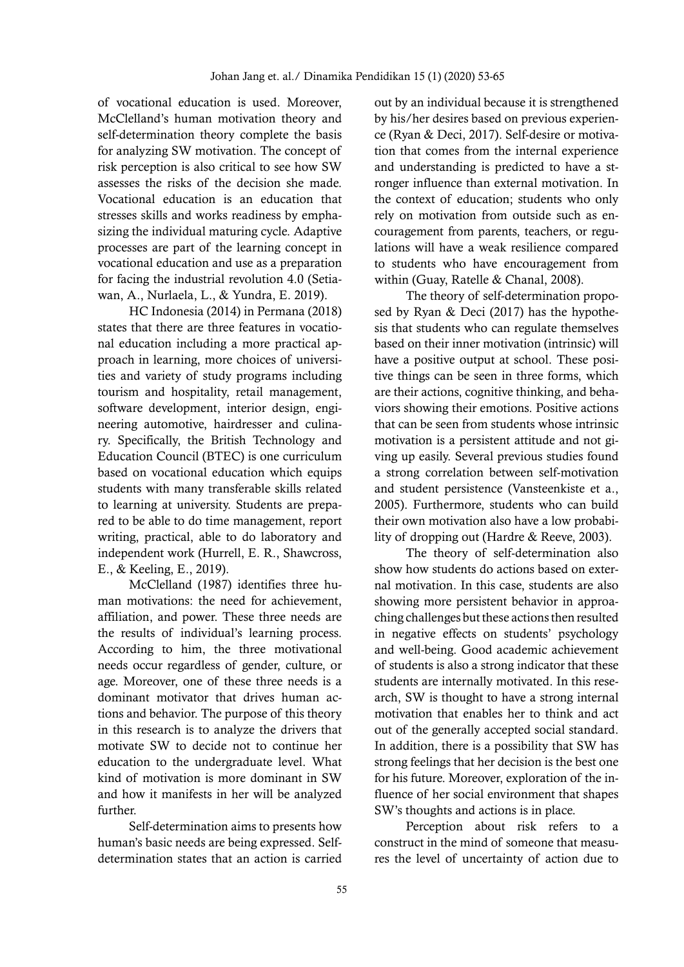of vocational education is used. Moreover, McClelland's human motivation theory and self-determination theory complete the basis for analyzing SW motivation. The concept of risk perception is also critical to see how SW assesses the risks of the decision she made. Vocational education is an education that stresses skills and works readiness by emphasizing the individual maturing cycle. Adaptive processes are part of the learning concept in vocational education and use as a preparation for facing the industrial revolution 4.0 (Setiawan, A., Nurlaela, L., & Yundra, E. 2019).

HC Indonesia (2014) in Permana (2018) states that there are three features in vocational education including a more practical approach in learning, more choices of universities and variety of study programs including tourism and hospitality, retail management, software development, interior design, engineering automotive, hairdresser and culinary. Specifically, the British Technology and Education Council (BTEC) is one curriculum based on vocational education which equips students with many transferable skills related to learning at university. Students are prepared to be able to do time management, report writing, practical, able to do laboratory and independent work (Hurrell, E. R., Shawcross, E., & Keeling, E., 2019).

McClelland (1987) identifies three human motivations: the need for achievement, affiliation, and power. These three needs are the results of individual's learning process. According to him, the three motivational needs occur regardless of gender, culture, or age. Moreover, one of these three needs is a dominant motivator that drives human actions and behavior. The purpose of this theory in this research is to analyze the drivers that motivate SW to decide not to continue her education to the undergraduate level. What kind of motivation is more dominant in SW and how it manifests in her will be analyzed further.

Self-determination aims to presents how human's basic needs are being expressed. Selfdetermination states that an action is carried out by an individual because it is strengthened by his/her desires based on previous experience (Ryan & Deci, 2017). Self-desire or motivation that comes from the internal experience and understanding is predicted to have a stronger influence than external motivation. In the context of education; students who only rely on motivation from outside such as encouragement from parents, teachers, or regulations will have a weak resilience compared to students who have encouragement from within (Guay, Ratelle & Chanal, 2008).

The theory of self-determination proposed by Ryan & Deci (2017) has the hypothesis that students who can regulate themselves based on their inner motivation (intrinsic) will have a positive output at school. These positive things can be seen in three forms, which are their actions, cognitive thinking, and behaviors showing their emotions. Positive actions that can be seen from students whose intrinsic motivation is a persistent attitude and not giving up easily. Several previous studies found a strong correlation between self-motivation and student persistence (Vansteenkiste et a., 2005). Furthermore, students who can build their own motivation also have a low probability of dropping out (Hardre & Reeve, 2003).

The theory of self-determination also show how students do actions based on external motivation. In this case, students are also showing more persistent behavior in approaching challenges but these actions then resulted in negative effects on students' psychology and well-being. Good academic achievement of students is also a strong indicator that these students are internally motivated. In this research, SW is thought to have a strong internal motivation that enables her to think and act out of the generally accepted social standard. In addition, there is a possibility that SW has strong feelings that her decision is the best one for his future. Moreover, exploration of the influence of her social environment that shapes SW's thoughts and actions is in place.

Perception about risk refers to a construct in the mind of someone that measures the level of uncertainty of action due to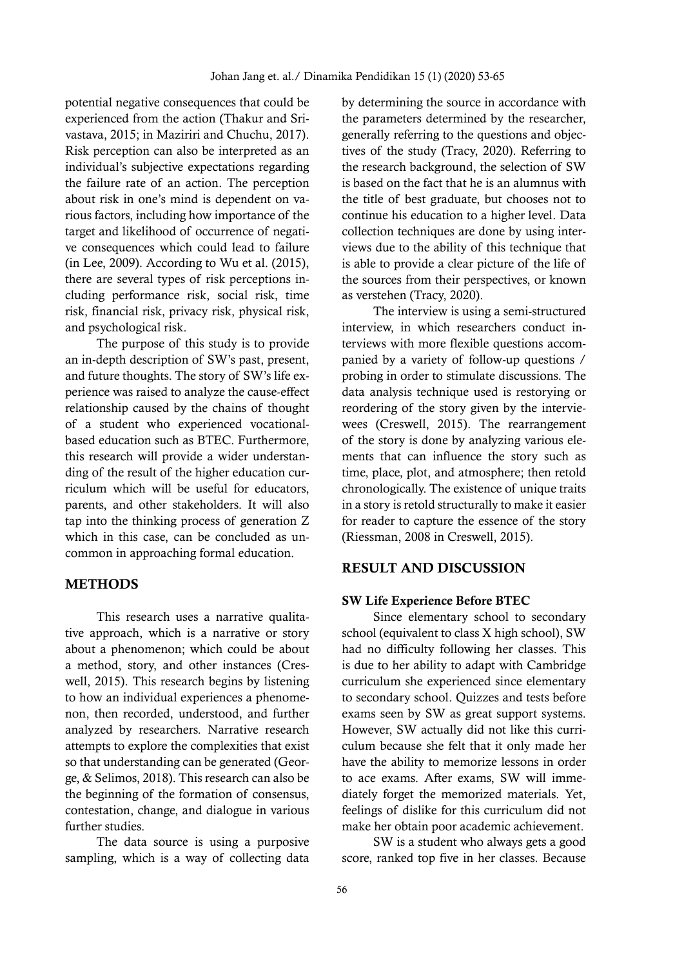potential negative consequences that could be experienced from the action (Thakur and Srivastava, 2015; in Maziriri and Chuchu, 2017). Risk perception can also be interpreted as an individual's subjective expectations regarding the failure rate of an action. The perception about risk in one's mind is dependent on various factors, including how importance of the target and likelihood of occurrence of negative consequences which could lead to failure (in Lee, 2009). According to Wu et al. (2015), there are several types of risk perceptions including performance risk, social risk, time risk, financial risk, privacy risk, physical risk, and psychological risk.

The purpose of this study is to provide an in-depth description of SW's past, present, and future thoughts. The story of SW's life experience was raised to analyze the cause-effect relationship caused by the chains of thought of a student who experienced vocationalbased education such as BTEC. Furthermore, this research will provide a wider understanding of the result of the higher education curriculum which will be useful for educators, parents, and other stakeholders. It will also tap into the thinking process of generation Z which in this case, can be concluded as uncommon in approaching formal education.

# **METHODS**

This research uses a narrative qualitative approach, which is a narrative or story about a phenomenon; which could be about a method, story, and other instances (Creswell, 2015). This research begins by listening to how an individual experiences a phenomenon, then recorded, understood, and further analyzed by researchers. Narrative research attempts to explore the complexities that exist so that understanding can be generated (George, & Selimos, 2018). This research can also be the beginning of the formation of consensus, contestation, change, and dialogue in various further studies.

The data source is using a purposive sampling, which is a way of collecting data by determining the source in accordance with the parameters determined by the researcher, generally referring to the questions and objectives of the study (Tracy, 2020). Referring to the research background, the selection of SW is based on the fact that he is an alumnus with the title of best graduate, but chooses not to continue his education to a higher level. Data collection techniques are done by using interviews due to the ability of this technique that is able to provide a clear picture of the life of the sources from their perspectives, or known as verstehen (Tracy, 2020).

The interview is using a semi-structured interview, in which researchers conduct interviews with more flexible questions accompanied by a variety of follow-up questions / probing in order to stimulate discussions. The data analysis technique used is restorying or reordering of the story given by the interviewees (Creswell, 2015). The rearrangement of the story is done by analyzing various elements that can influence the story such as time, place, plot, and atmosphere; then retold chronologically. The existence of unique traits in a story is retold structurally to make it easier for reader to capture the essence of the story (Riessman, 2008 in Creswell, 2015).

## RESULT AND DISCUSSION

### SW Life Experience Before BTEC

Since elementary school to secondary school (equivalent to class X high school), SW had no difficulty following her classes. This is due to her ability to adapt with Cambridge curriculum she experienced since elementary to secondary school. Quizzes and tests before exams seen by SW as great support systems. However, SW actually did not like this curriculum because she felt that it only made her have the ability to memorize lessons in order to ace exams. After exams, SW will immediately forget the memorized materials. Yet, feelings of dislike for this curriculum did not make her obtain poor academic achievement.

SW is a student who always gets a good score, ranked top five in her classes. Because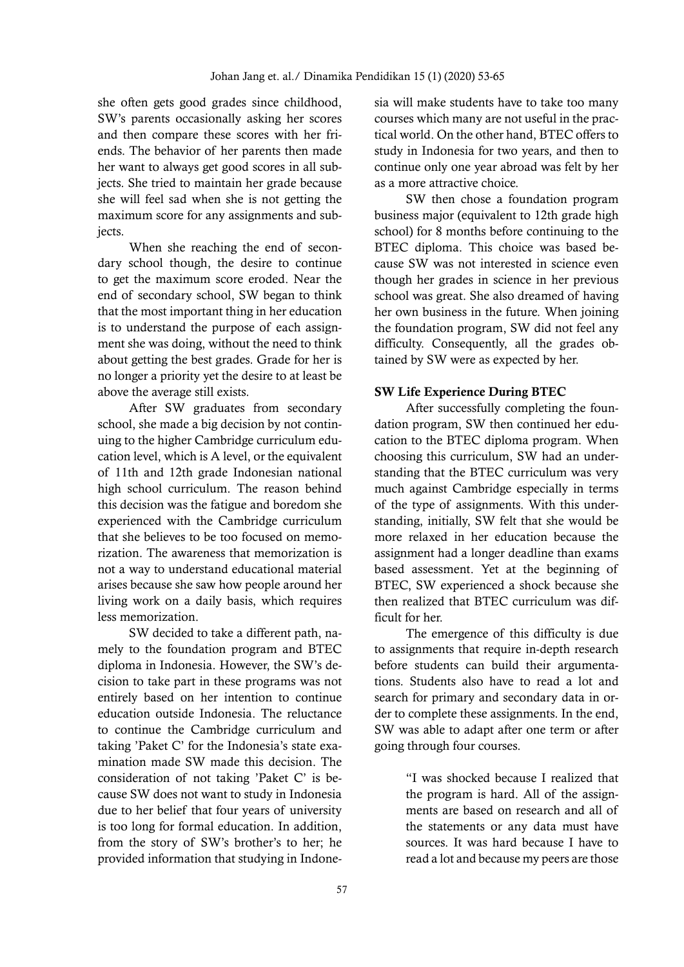she often gets good grades since childhood, SW's parents occasionally asking her scores and then compare these scores with her friends. The behavior of her parents then made her want to always get good scores in all subjects. She tried to maintain her grade because she will feel sad when she is not getting the maximum score for any assignments and subiects.

When she reaching the end of secondary school though, the desire to continue to get the maximum score eroded. Near the end of secondary school, SW began to think that the most important thing in her education is to understand the purpose of each assignment she was doing, without the need to think about getting the best grades. Grade for her is no longer a priority yet the desire to at least be above the average still exists.

After SW graduates from secondary school, she made a big decision by not continuing to the higher Cambridge curriculum education level, which is A level, or the equivalent of 11th and 12th grade Indonesian national high school curriculum. The reason behind this decision was the fatigue and boredom she experienced with the Cambridge curriculum that she believes to be too focused on memorization. The awareness that memorization is not a way to understand educational material arises because she saw how people around her living work on a daily basis, which requires less memorization.

SW decided to take a different path, namely to the foundation program and BTEC diploma in Indonesia. However, the SW's decision to take part in these programs was not entirely based on her intention to continue education outside Indonesia. The reluctance to continue the Cambridge curriculum and taking 'Paket C' for the Indonesia's state examination made SW made this decision. The consideration of not taking 'Paket C' is because SW does not want to study in Indonesia due to her belief that four years of university is too long for formal education. In addition, from the story of SW's brother's to her; he provided information that studying in Indonesia will make students have to take too many courses which many are not useful in the practical world. On the other hand, BTEC offers to study in Indonesia for two years, and then to continue only one year abroad was felt by her as a more attractive choice.

SW then chose a foundation program business major (equivalent to 12th grade high school) for 8 months before continuing to the BTEC diploma. This choice was based because SW was not interested in science even though her grades in science in her previous school was great. She also dreamed of having her own business in the future. When joining the foundation program, SW did not feel any difficulty. Consequently, all the grades obtained by SW were as expected by her.

#### SW Life Experience During BTEC

After successfully completing the foundation program, SW then continued her education to the BTEC diploma program. When choosing this curriculum, SW had an understanding that the BTEC curriculum was very much against Cambridge especially in terms of the type of assignments. With this understanding, initially, SW felt that she would be more relaxed in her education because the assignment had a longer deadline than exams based assessment. Yet at the beginning of BTEC, SW experienced a shock because she then realized that BTEC curriculum was difficult for her.

The emergence of this difficulty is due to assignments that require in-depth research before students can build their argumentations. Students also have to read a lot and search for primary and secondary data in order to complete these assignments. In the end, SW was able to adapt after one term or after going through four courses.

> "I was shocked because I realized that the program is hard. All of the assignments are based on research and all of the statements or any data must have sources. It was hard because I have to read a lot and because my peers are those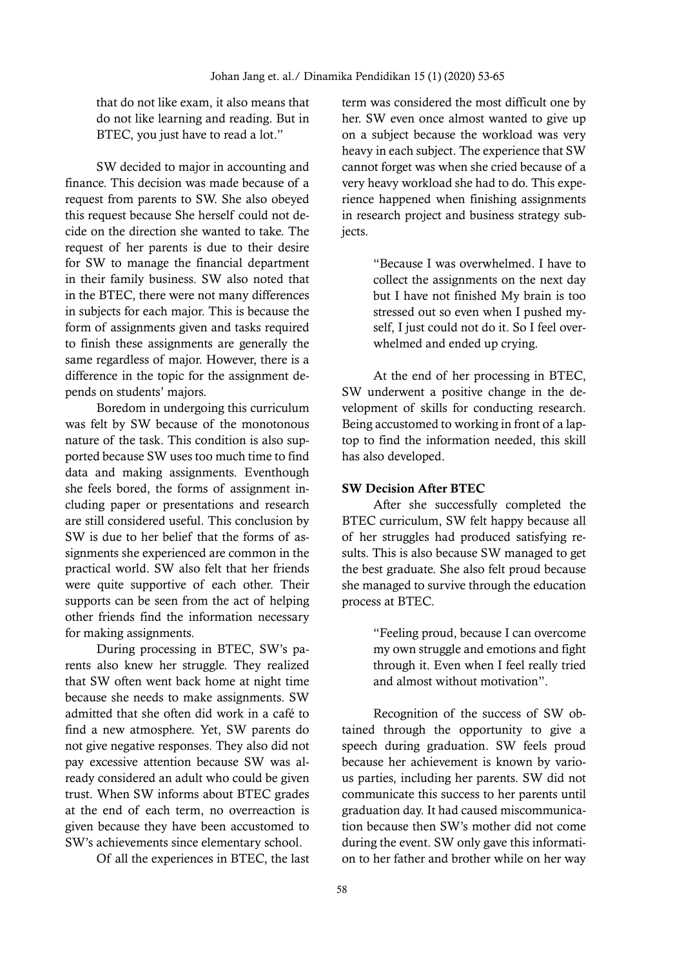that do not like exam, it also means that do not like learning and reading. But in BTEC, you just have to read a lot."

SW decided to major in accounting and finance. This decision was made because of a request from parents to SW. She also obeyed this request because She herself could not decide on the direction she wanted to take. The request of her parents is due to their desire for SW to manage the financial department in their family business. SW also noted that in the BTEC, there were not many differences in subjects for each major. This is because the form of assignments given and tasks required to finish these assignments are generally the same regardless of major. However, there is a difference in the topic for the assignment depends on students' majors.

Boredom in undergoing this curriculum was felt by SW because of the monotonous nature of the task. This condition is also supported because SW uses too much time to find data and making assignments. Eventhough she feels bored, the forms of assignment including paper or presentations and research are still considered useful. This conclusion by SW is due to her belief that the forms of assignments she experienced are common in the practical world. SW also felt that her friends were quite supportive of each other. Their supports can be seen from the act of helping other friends find the information necessary for making assignments.

During processing in BTEC, SW's parents also knew her struggle. They realized that SW often went back home at night time because she needs to make assignments. SW admitted that she often did work in a café to find a new atmosphere. Yet, SW parents do not give negative responses. They also did not pay excessive attention because SW was already considered an adult who could be given trust. When SW informs about BTEC grades at the end of each term, no overreaction is given because they have been accustomed to SW's achievements since elementary school.

Of all the experiences in BTEC, the last

term was considered the most difficult one by her. SW even once almost wanted to give up on a subject because the workload was very heavy in each subject. The experience that SW cannot forget was when she cried because of a very heavy workload she had to do. This experience happened when finishing assignments in research project and business strategy subjects.

> "Because I was overwhelmed. I have to collect the assignments on the next day but I have not finished My brain is too stressed out so even when I pushed myself, I just could not do it. So I feel overwhelmed and ended up crying.

At the end of her processing in BTEC, SW underwent a positive change in the development of skills for conducting research. Being accustomed to working in front of a laptop to find the information needed, this skill has also developed.

#### SW Decision After BTEC

After she successfully completed the BTEC curriculum, SW felt happy because all of her struggles had produced satisfying results. This is also because SW managed to get the best graduate. She also felt proud because she managed to survive through the education process at BTEC.

> "Feeling proud, because I can overcome my own struggle and emotions and fight through it. Even when I feel really tried and almost without motivation".

Recognition of the success of SW obtained through the opportunity to give a speech during graduation. SW feels proud because her achievement is known by various parties, including her parents. SW did not communicate this success to her parents until graduation day. It had caused miscommunication because then SW's mother did not come during the event. SW only gave this information to her father and brother while on her way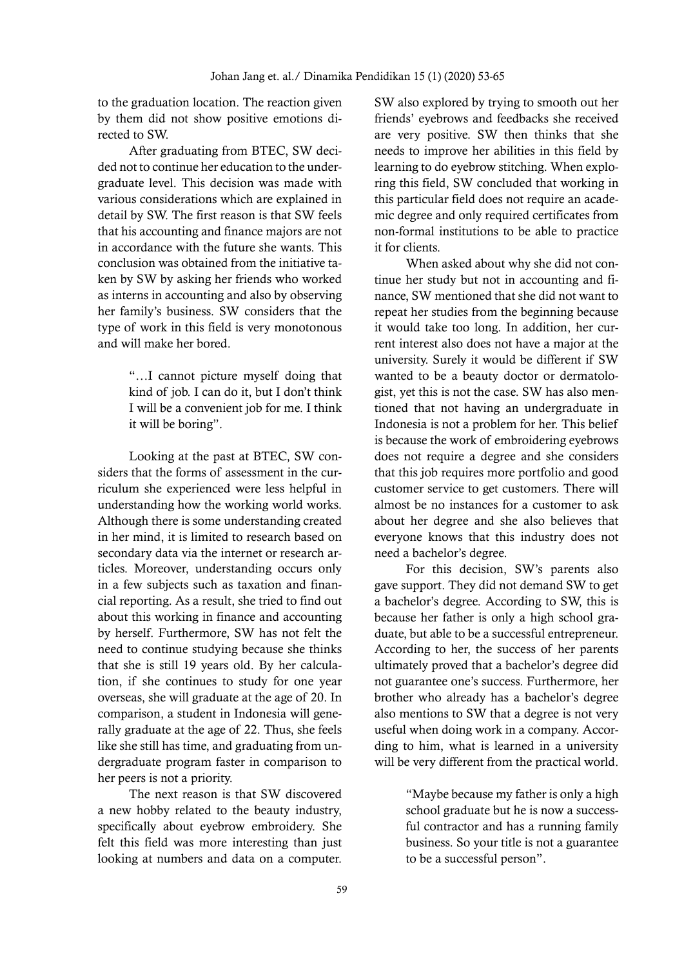to the graduation location. The reaction given by them did not show positive emotions directed to SW.

After graduating from BTEC, SW decided not to continue her education to the undergraduate level. This decision was made with various considerations which are explained in detail by SW. The first reason is that SW feels that his accounting and finance majors are not in accordance with the future she wants. This conclusion was obtained from the initiative taken by SW by asking her friends who worked as interns in accounting and also by observing her family's business. SW considers that the type of work in this field is very monotonous and will make her bored.

> "…I cannot picture myself doing that kind of job. I can do it, but I don't think I will be a convenient job for me. I think it will be boring".

Looking at the past at BTEC, SW considers that the forms of assessment in the curriculum she experienced were less helpful in understanding how the working world works. Although there is some understanding created in her mind, it is limited to research based on secondary data via the internet or research articles. Moreover, understanding occurs only in a few subjects such as taxation and financial reporting. As a result, she tried to find out about this working in finance and accounting by herself. Furthermore, SW has not felt the need to continue studying because she thinks that she is still 19 years old. By her calculation, if she continues to study for one year overseas, she will graduate at the age of 20. In comparison, a student in Indonesia will generally graduate at the age of 22. Thus, she feels like she still has time, and graduating from undergraduate program faster in comparison to her peers is not a priority.

The next reason is that SW discovered a new hobby related to the beauty industry, specifically about eyebrow embroidery. She felt this field was more interesting than just looking at numbers and data on a computer.

SW also explored by trying to smooth out her friends' eyebrows and feedbacks she received are very positive. SW then thinks that she needs to improve her abilities in this field by learning to do eyebrow stitching. When exploring this field, SW concluded that working in this particular field does not require an academic degree and only required certificates from non-formal institutions to be able to practice it for clients.

When asked about why she did not continue her study but not in accounting and finance, SW mentioned that she did not want to repeat her studies from the beginning because it would take too long. In addition, her current interest also does not have a major at the university. Surely it would be different if SW wanted to be a beauty doctor or dermatologist, yet this is not the case. SW has also mentioned that not having an undergraduate in Indonesia is not a problem for her. This belief is because the work of embroidering eyebrows does not require a degree and she considers that this job requires more portfolio and good customer service to get customers. There will almost be no instances for a customer to ask about her degree and she also believes that everyone knows that this industry does not need a bachelor's degree.

For this decision, SW's parents also gave support. They did not demand SW to get a bachelor's degree. According to SW, this is because her father is only a high school graduate, but able to be a successful entrepreneur. According to her, the success of her parents ultimately proved that a bachelor's degree did not guarantee one's success. Furthermore, her brother who already has a bachelor's degree also mentions to SW that a degree is not very useful when doing work in a company. According to him, what is learned in a university will be very different from the practical world.

> "Maybe because my father is only a high school graduate but he is now a successful contractor and has a running family business. So your title is not a guarantee to be a successful person".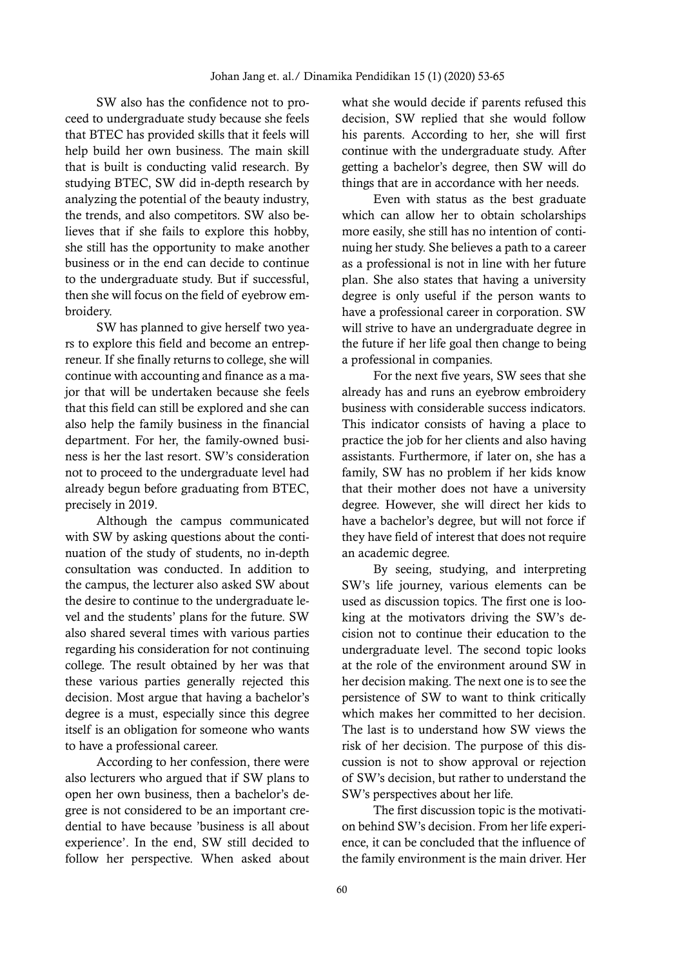SW also has the confidence not to proceed to undergraduate study because she feels that BTEC has provided skills that it feels will help build her own business. The main skill that is built is conducting valid research. By studying BTEC, SW did in-depth research by analyzing the potential of the beauty industry, the trends, and also competitors. SW also believes that if she fails to explore this hobby, she still has the opportunity to make another business or in the end can decide to continue to the undergraduate study. But if successful, then she will focus on the field of eyebrow embroidery.

SW has planned to give herself two years to explore this field and become an entrepreneur. If she finally returns to college, she will continue with accounting and finance as a major that will be undertaken because she feels that this field can still be explored and she can also help the family business in the financial department. For her, the family-owned business is her the last resort. SW's consideration not to proceed to the undergraduate level had already begun before graduating from BTEC, precisely in 2019.

Although the campus communicated with SW by asking questions about the continuation of the study of students, no in-depth consultation was conducted. In addition to the campus, the lecturer also asked SW about the desire to continue to the undergraduate level and the students' plans for the future. SW also shared several times with various parties regarding his consideration for not continuing college. The result obtained by her was that these various parties generally rejected this decision. Most argue that having a bachelor's degree is a must, especially since this degree itself is an obligation for someone who wants to have a professional career.

According to her confession, there were also lecturers who argued that if SW plans to open her own business, then a bachelor's degree is not considered to be an important credential to have because 'business is all about experience'. In the end, SW still decided to follow her perspective. When asked about what she would decide if parents refused this decision, SW replied that she would follow his parents. According to her, she will first continue with the undergraduate study. After getting a bachelor's degree, then SW will do things that are in accordance with her needs.

Even with status as the best graduate which can allow her to obtain scholarships more easily, she still has no intention of continuing her study. She believes a path to a career as a professional is not in line with her future plan. She also states that having a university degree is only useful if the person wants to have a professional career in corporation. SW will strive to have an undergraduate degree in the future if her life goal then change to being a professional in companies.

For the next five years, SW sees that she already has and runs an eyebrow embroidery business with considerable success indicators. This indicator consists of having a place to practice the job for her clients and also having assistants. Furthermore, if later on, she has a family, SW has no problem if her kids know that their mother does not have a university degree. However, she will direct her kids to have a bachelor's degree, but will not force if they have field of interest that does not require an academic degree.

By seeing, studying, and interpreting SW's life journey, various elements can be used as discussion topics. The first one is looking at the motivators driving the SW's decision not to continue their education to the undergraduate level. The second topic looks at the role of the environment around SW in her decision making. The next one is to see the persistence of SW to want to think critically which makes her committed to her decision. The last is to understand how SW views the risk of her decision. The purpose of this discussion is not to show approval or rejection of SW's decision, but rather to understand the SW's perspectives about her life.

The first discussion topic is the motivation behind SW's decision. From her life experience, it can be concluded that the influence of the family environment is the main driver. Her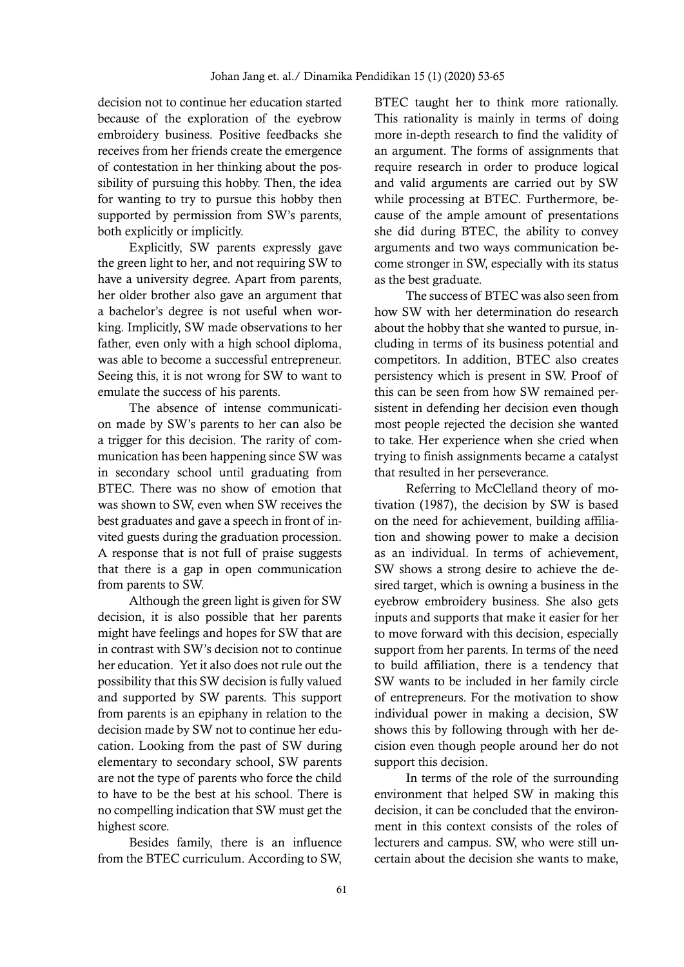decision not to continue her education started because of the exploration of the eyebrow embroidery business. Positive feedbacks she receives from her friends create the emergence of contestation in her thinking about the possibility of pursuing this hobby. Then, the idea for wanting to try to pursue this hobby then supported by permission from SW's parents, both explicitly or implicitly.

Explicitly, SW parents expressly gave the green light to her, and not requiring SW to have a university degree. Apart from parents, her older brother also gave an argument that a bachelor's degree is not useful when working. Implicitly, SW made observations to her father, even only with a high school diploma, was able to become a successful entrepreneur. Seeing this, it is not wrong for SW to want to emulate the success of his parents.

The absence of intense communication made by SW's parents to her can also be a trigger for this decision. The rarity of communication has been happening since SW was in secondary school until graduating from BTEC. There was no show of emotion that was shown to SW, even when SW receives the best graduates and gave a speech in front of invited guests during the graduation procession. A response that is not full of praise suggests that there is a gap in open communication from parents to SW.

Although the green light is given for SW decision, it is also possible that her parents might have feelings and hopes for SW that are in contrast with SW's decision not to continue her education. Yet it also does not rule out the possibility that this SW decision is fully valued and supported by SW parents. This support from parents is an epiphany in relation to the decision made by SW not to continue her education. Looking from the past of SW during elementary to secondary school, SW parents are not the type of parents who force the child to have to be the best at his school. There is no compelling indication that SW must get the highest score.

Besides family, there is an influence from the BTEC curriculum. According to SW, BTEC taught her to think more rationally. This rationality is mainly in terms of doing more in-depth research to find the validity of an argument. The forms of assignments that require research in order to produce logical and valid arguments are carried out by SW while processing at BTEC. Furthermore, because of the ample amount of presentations she did during BTEC, the ability to convey arguments and two ways communication become stronger in SW, especially with its status as the best graduate.

The success of BTEC was also seen from how SW with her determination do research about the hobby that she wanted to pursue, including in terms of its business potential and competitors. In addition, BTEC also creates persistency which is present in SW. Proof of this can be seen from how SW remained persistent in defending her decision even though most people rejected the decision she wanted to take. Her experience when she cried when trying to finish assignments became a catalyst that resulted in her perseverance.

Referring to McClelland theory of motivation (1987), the decision by SW is based on the need for achievement, building affiliation and showing power to make a decision as an individual. In terms of achievement, SW shows a strong desire to achieve the desired target, which is owning a business in the eyebrow embroidery business. She also gets inputs and supports that make it easier for her to move forward with this decision, especially support from her parents. In terms of the need to build affiliation, there is a tendency that SW wants to be included in her family circle of entrepreneurs. For the motivation to show individual power in making a decision, SW shows this by following through with her decision even though people around her do not support this decision.

In terms of the role of the surrounding environment that helped SW in making this decision, it can be concluded that the environment in this context consists of the roles of lecturers and campus. SW, who were still uncertain about the decision she wants to make,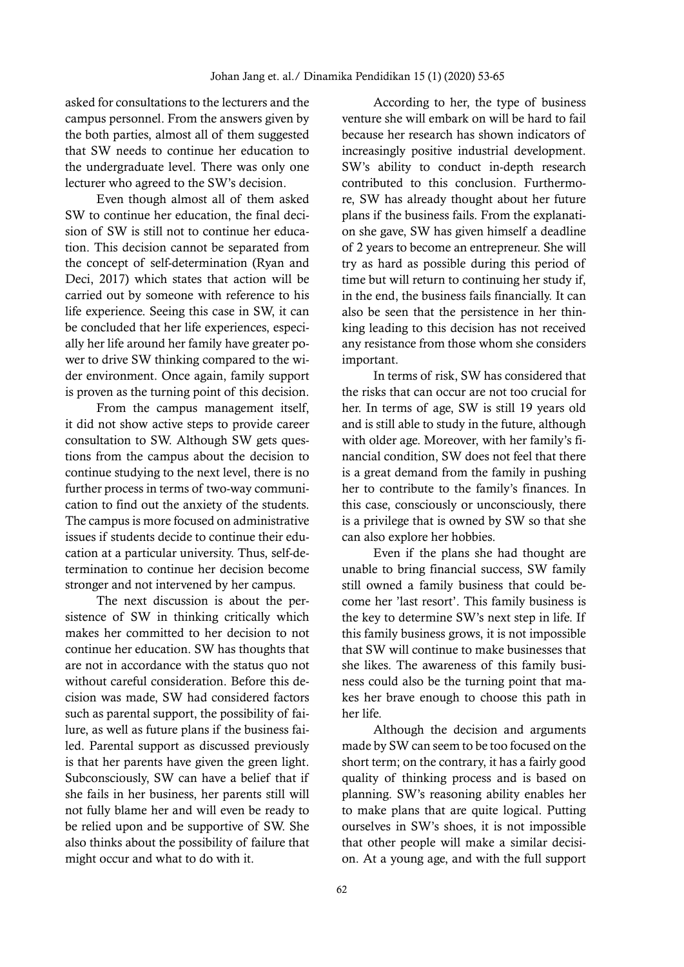asked for consultations to the lecturers and the campus personnel. From the answers given by the both parties, almost all of them suggested that SW needs to continue her education to the undergraduate level. There was only one lecturer who agreed to the SW's decision.

Even though almost all of them asked SW to continue her education, the final decision of SW is still not to continue her education. This decision cannot be separated from the concept of self-determination (Ryan and Deci, 2017) which states that action will be carried out by someone with reference to his life experience. Seeing this case in SW, it can be concluded that her life experiences, especially her life around her family have greater power to drive SW thinking compared to the wider environment. Once again, family support is proven as the turning point of this decision.

From the campus management itself, it did not show active steps to provide career consultation to SW. Although SW gets questions from the campus about the decision to continue studying to the next level, there is no further process in terms of two-way communication to find out the anxiety of the students. The campus is more focused on administrative issues if students decide to continue their education at a particular university. Thus, self-determination to continue her decision become stronger and not intervened by her campus.

The next discussion is about the persistence of SW in thinking critically which makes her committed to her decision to not continue her education. SW has thoughts that are not in accordance with the status quo not without careful consideration. Before this decision was made, SW had considered factors such as parental support, the possibility of failure, as well as future plans if the business failed. Parental support as discussed previously is that her parents have given the green light. Subconsciously, SW can have a belief that if she fails in her business, her parents still will not fully blame her and will even be ready to be relied upon and be supportive of SW. She also thinks about the possibility of failure that might occur and what to do with it.

According to her, the type of business venture she will embark on will be hard to fail because her research has shown indicators of increasingly positive industrial development. SW's ability to conduct in-depth research contributed to this conclusion. Furthermore, SW has already thought about her future plans if the business fails. From the explanation she gave, SW has given himself a deadline of 2 years to become an entrepreneur. She will try as hard as possible during this period of time but will return to continuing her study if, in the end, the business fails financially. It can also be seen that the persistence in her thinking leading to this decision has not received any resistance from those whom she considers important.

In terms of risk, SW has considered that the risks that can occur are not too crucial for her. In terms of age, SW is still 19 years old and is still able to study in the future, although with older age. Moreover, with her family's financial condition, SW does not feel that there is a great demand from the family in pushing her to contribute to the family's finances. In this case, consciously or unconsciously, there is a privilege that is owned by SW so that she can also explore her hobbies.

Even if the plans she had thought are unable to bring financial success, SW family still owned a family business that could become her 'last resort'. This family business is the key to determine SW's next step in life. If this family business grows, it is not impossible that SW will continue to make businesses that she likes. The awareness of this family business could also be the turning point that makes her brave enough to choose this path in her life.

Although the decision and arguments made by SW can seem to be too focused on the short term; on the contrary, it has a fairly good quality of thinking process and is based on planning. SW's reasoning ability enables her to make plans that are quite logical. Putting ourselves in SW's shoes, it is not impossible that other people will make a similar decision. At a young age, and with the full support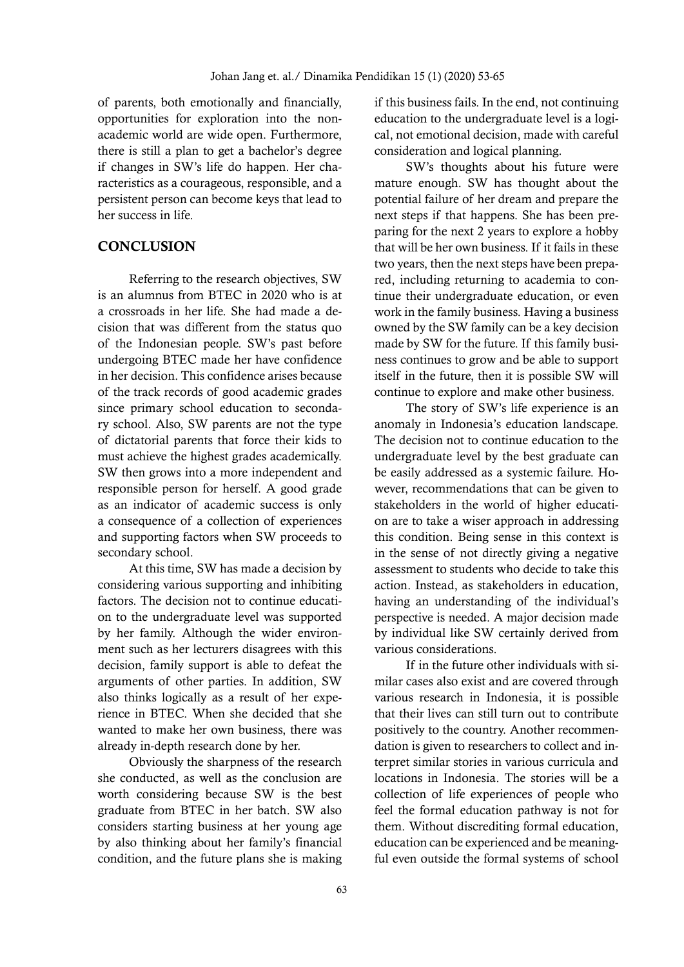of parents, both emotionally and financially, opportunities for exploration into the nonacademic world are wide open. Furthermore, there is still a plan to get a bachelor's degree if changes in SW's life do happen. Her characteristics as a courageous, responsible, and a persistent person can become keys that lead to her success in life.

# **CONCLUSION**

Referring to the research objectives, SW is an alumnus from BTEC in 2020 who is at a crossroads in her life. She had made a decision that was different from the status quo of the Indonesian people. SW's past before undergoing BTEC made her have confidence in her decision. This confidence arises because of the track records of good academic grades since primary school education to secondary school. Also, SW parents are not the type of dictatorial parents that force their kids to must achieve the highest grades academically. SW then grows into a more independent and responsible person for herself. A good grade as an indicator of academic success is only a consequence of a collection of experiences and supporting factors when SW proceeds to secondary school.

At this time, SW has made a decision by considering various supporting and inhibiting factors. The decision not to continue education to the undergraduate level was supported by her family. Although the wider environment such as her lecturers disagrees with this decision, family support is able to defeat the arguments of other parties. In addition, SW also thinks logically as a result of her experience in BTEC. When she decided that she wanted to make her own business, there was already in-depth research done by her.

Obviously the sharpness of the research she conducted, as well as the conclusion are worth considering because SW is the best graduate from BTEC in her batch. SW also considers starting business at her young age by also thinking about her family's financial condition, and the future plans she is making if this business fails. In the end, not continuing education to the undergraduate level is a logical, not emotional decision, made with careful consideration and logical planning.

SW's thoughts about his future were mature enough. SW has thought about the potential failure of her dream and prepare the next steps if that happens. She has been preparing for the next 2 years to explore a hobby that will be her own business. If it fails in these two years, then the next steps have been prepared, including returning to academia to continue their undergraduate education, or even work in the family business. Having a business owned by the SW family can be a key decision made by SW for the future. If this family business continues to grow and be able to support itself in the future, then it is possible SW will continue to explore and make other business.

The story of SW's life experience is an anomaly in Indonesia's education landscape. The decision not to continue education to the undergraduate level by the best graduate can be easily addressed as a systemic failure. However, recommendations that can be given to stakeholders in the world of higher education are to take a wiser approach in addressing this condition. Being sense in this context is in the sense of not directly giving a negative assessment to students who decide to take this action. Instead, as stakeholders in education, having an understanding of the individual's perspective is needed. A major decision made by individual like SW certainly derived from various considerations.

If in the future other individuals with similar cases also exist and are covered through various research in Indonesia, it is possible that their lives can still turn out to contribute positively to the country. Another recommendation is given to researchers to collect and interpret similar stories in various curricula and locations in Indonesia. The stories will be a collection of life experiences of people who feel the formal education pathway is not for them. Without discrediting formal education, education can be experienced and be meaningful even outside the formal systems of school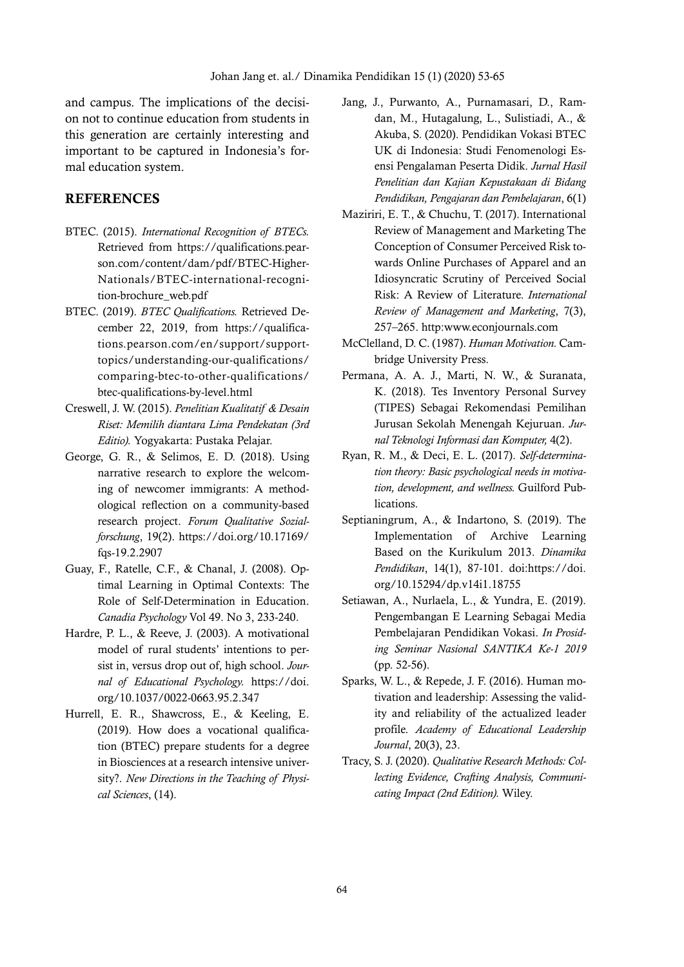and campus. The implications of the decision not to continue education from students in this generation are certainly interesting and important to be captured in Indonesia's formal education system.

## **REFERENCES**

- BTEC. (2015). *International Recognition of BTECs.* Retrieved from https://qualifications.pearson.com/content/dam/pdf/BTEC-Higher-Nationals/BTEC-international-recognition-brochure\_web.pdf
- BTEC. (2019). *BTEC Qualifications.* Retrieved December 22, 2019, from https://qualifications.pearson.com/en/support/supporttopics/understanding-our-qualifications/ comparing-btec-to-other-qualifications/ btec-qualifications-by-level.html
- Creswell, J. W. (2015). *Penelitian Kualitatif & Desain Riset: Memilih diantara Lima Pendekatan (3rd Editio).* Yogyakarta: Pustaka Pelajar.
- George, G. R., & Selimos, E. D. (2018). Using narrative research to explore the welcoming of newcomer immigrants: A methodological reflection on a community-based research project. *Forum Qualitative Sozialforschung*, 19(2). https://doi.org/10.17169/ fqs-19.2.2907
- Guay, F., Ratelle, C.F., & Chanal, J. (2008). Optimal Learning in Optimal Contexts: The Role of Self-Determination in Education. *Canadia Psychology* Vol 49. No 3, 233-240.
- Hardre, P. L., & Reeve, J. (2003). A motivational model of rural students' intentions to persist in, versus drop out of, high school. *Journal of Educational Psychology.* https://doi. org/10.1037/0022-0663.95.2.347
- Hurrell, E. R., Shawcross, E., & Keeling, E. (2019). How does a vocational qualification (BTEC) prepare students for a degree in Biosciences at a research intensive university?. *New Directions in the Teaching of Physical Sciences*, (14).
- Jang, J., Purwanto, A., Purnamasari, D., Ramdan, M., Hutagalung, L., Sulistiadi, A., & Akuba, S. (2020). Pendidikan Vokasi BTEC UK di Indonesia: Studi Fenomenologi Esensi Pengalaman Peserta Didik. *Jurnal Hasil Penelitian dan Kajian Kepustakaan di Bidang Pendidikan, Pengajaran dan Pembelajaran*, 6(1)
- Maziriri, E. T., & Chuchu, T. (2017). International Review of Management and Marketing The Conception of Consumer Perceived Risk towards Online Purchases of Apparel and an Idiosyncratic Scrutiny of Perceived Social Risk: A Review of Literature. *International Review of Management and Marketing*, 7(3), 257–265. http:www.econjournals.com
- McClelland, D. C. (1987). *Human Motivation.* Cambridge University Press.
- Permana, A. A. J., Marti, N. W., & Suranata, K. (2018). Tes Inventory Personal Survey (TIPES) Sebagai Rekomendasi Pemilihan Jurusan Sekolah Menengah Kejuruan. *Jurnal Teknologi Informasi dan Komputer,* 4(2).
- Ryan, R. M., & Deci, E. L. (2017). *Self-determination theory: Basic psychological needs in motivation, development, and wellness.* Guilford Publications.
- Septianingrum, A., & Indartono, S. (2019). The Implementation of Archive Learning Based on the Kurikulum 2013. *Dinamika Pendidikan*, 14(1), 87-101. doi:https://doi. org/10.15294/dp.v14i1.18755
- Setiawan, A., Nurlaela, L., & Yundra, E. (2019). Pengembangan E Learning Sebagai Media Pembelajaran Pendidikan Vokasi. *In Prosiding Seminar Nasional SANTIKA Ke-1 2019* (pp. 52-56).
- Sparks, W. L., & Repede, J. F. (2016). Human motivation and leadership: Assessing the validity and reliability of the actualized leader profile. *Academy of Educational Leadership Journal*, 20(3), 23.
- Tracy, S. J. (2020). *Qualitative Research Methods: Collecting Evidence, Crafting Analysis, Communicating Impact (2nd Edition).* Wiley.